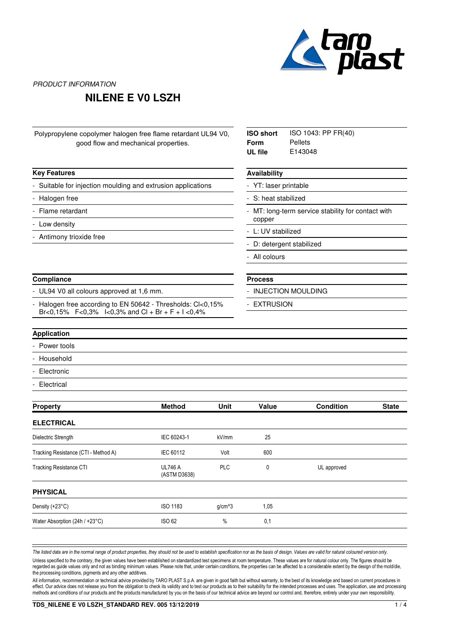

### **NILENE E V0 LSZH**

| Polypropylene copolymer halogen free flame retardant UL94 V0, |  |
|---------------------------------------------------------------|--|
| good flow and mechanical properties.                          |  |

|  | Key Features |
|--|--------------|
|--|--------------|

Suitable for injection moulding and extrusion applications

- Halogen free
- Flame retardant
- Low density
- Antimony trioxide free

#### **Compliance**

UL94 V0 all colours approved at 1,6 mm.

Halogen free according to EN 50642 - Thresholds: Cl<0,15% Br<0,15% F<0,3% I<0,3% and Cl + Br + F + I <0,4% -

ISO 1043: PP FR(40) Pellets E143048 **ISO short Form UL file**

#### **Availability**

YT: laser printable

S: heat stabilized

MT: long-term service stability for contact with copper -

L: UV stabilized

D: detergent stabilized

- All colours
- **Process**
- INJECTION MOULDING
- **EXTRUSION**

#### **Application**

Power tools

- **Household**
- **Electronic**
- **Electrical**

| <b>Property</b>                      | <b>Method</b>                  | <b>Unit</b> | Value | <b>Condition</b> | <b>State</b> |
|--------------------------------------|--------------------------------|-------------|-------|------------------|--------------|
| <b>ELECTRICAL</b>                    |                                |             |       |                  |              |
| Dielectric Strength                  | IEC 60243-1                    | kV/mm       | 25    |                  |              |
| Tracking Resistance (CTI - Method A) | IEC 60112                      | Volt        | 600   |                  |              |
| <b>Tracking Resistance CTI</b>       | <b>UL746 A</b><br>(ASTM D3638) | <b>PLC</b>  | 0     | UL approved      |              |
| <b>PHYSICAL</b>                      |                                |             |       |                  |              |
| Density (+23°C)                      | <b>ISO 1183</b>                | $g/cm^{3}$  | 1,05  |                  |              |
| Water Absorption (24h / +23°C)       | <b>ISO 62</b>                  | %           | 0,1   |                  |              |
|                                      |                                |             |       |                  |              |

The listed data are in the normal range of product properties, they should not be used to establish specification nor as the basis of design. Values are valid for natural coloured version only. Unless specified to the contrary, the given values have been established on standardized test specimens at room temperature. These values are for natural colour only. The figures should be regarded as guide values only and not as binding minimum values. Please note that, under certain conditions, the properties can be affected to a considerable extent by the design of the mold/die, the processing conditions, pigments and any other additives.

All information, recommendation or technical advice provided by TARO PLAST S.p.A. are given in good faith but without warranty, to the best of its knowledge and based on current procedures in effect. Our advice does not release you from the obligation to check its validity and to test our products as to their suitability for the intended processes and uses. The application, use and processing methods and conditions of our products and the products manufactured by you on the basis of our technical advice are beyond our control and, therefore, entirely under your own responsibility.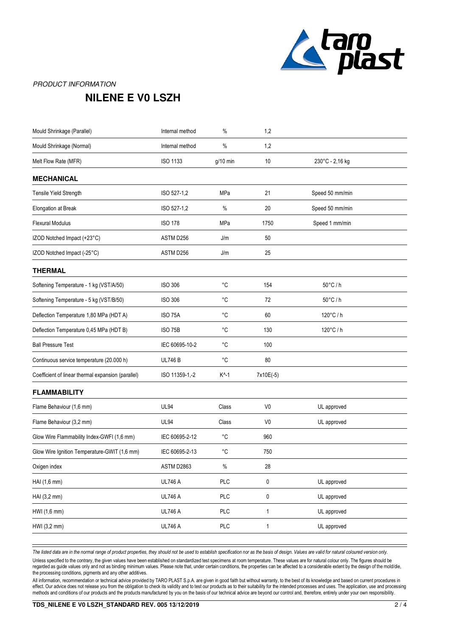

## **NILENE E V0 LSZH**

| Internal method | $\%$            | 1,2            |                  |
|-----------------|-----------------|----------------|------------------|
| Internal method | $\%$            | 1,2            |                  |
| ISO 1133        | $g/10$ min      | 10             | 230°C - 2,16 kg  |
|                 |                 |                |                  |
| ISO 527-1,2     | MPa             | 21             | Speed 50 mm/min  |
| ISO 527-1,2     | $\%$            | 20             | Speed 50 mm/min  |
| <b>ISO 178</b>  | MPa             | 1750           | Speed 1 mm/min   |
| ASTM D256       | J/m             | 50             |                  |
| ASTM D256       | J/m             | 25             |                  |
|                 |                 |                |                  |
| <b>ISO 306</b>  | $^{\circ}C$     | 154            | $50^{\circ}$ C/h |
| <b>ISO 306</b>  | °C              | 72             | $50^{\circ}$ C/h |
| ISO 75A         | $^{\circ}C$     | 60             | 120°C/h          |
| <b>ISO 75B</b>  | $^{\circ}C$     | 130            | 120°C/h          |
| IEC 60695-10-2  | $^{\circ}C$     | 100            |                  |
| <b>UL746B</b>   | °C              | 80             |                  |
| ISO 11359-1,-2  | $K^{\wedge}$ -1 | 7x10E(-5)      |                  |
|                 |                 |                |                  |
| <b>UL94</b>     | Class           | V <sub>0</sub> | UL approved      |
| <b>UL94</b>     | Class           | V <sub>0</sub> | UL approved      |
| IEC 60695-2-12  | $^{\circ}C$     | 960            |                  |
| IEC 60695-2-13  | °C              | 750            |                  |
| ASTM D2863      | $\%$            | 28             |                  |
| <b>UL746 A</b>  | PLC             | $\pmb{0}$      | UL approved      |
| <b>UL746 A</b>  | PLC             | $\pmb{0}$      | UL approved      |
| <b>UL746 A</b>  | PLC             | $\mathbf{1}$   | UL approved      |
| <b>UL746 A</b>  | <b>PLC</b>      | $\mathbf{1}$   | UL approved      |
|                 |                 |                |                  |

The listed data are in the normal range of product properties, they should not be used to establish specification nor as the basis of design. Values are valid for natural coloured version only.

Unless specified to the contrary, the given values have been established on standardized test specimens at room temperature. These values are for natural colour only. The figures should be regarded as guide values only and not as binding minimum values. Please note that, under certain conditions, the properties can be affected to a considerable extent by the design of the mold/die, the processing conditions, pigments and any other additives.

All information, recommendation or technical advice provided by TARO PLAST S.p.A. are given in good faith but without warranty, to the best of its knowledge and based on current procedures in effect. Our advice does not release you from the obligation to check its validity and to test our products as to their suitability for the intended processes and uses. The application, use and processing methods and conditions of our products and the products manufactured by you on the basis of our technical advice are beyond our control and, therefore, entirely under your own responsibility.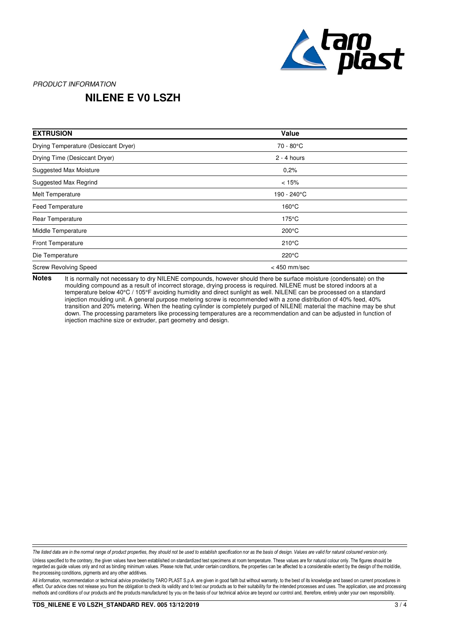

# **NILENE E V0 LSZH**

| <b>EXTRUSION</b>                     | Value           |  |
|--------------------------------------|-----------------|--|
| Drying Temperature (Desiccant Dryer) | 70 - 80°C       |  |
| Drying Time (Desiccant Dryer)        | $2 - 4$ hours   |  |
| <b>Suggested Max Moisture</b>        | 0.2%            |  |
| Suggested Max Regrind                | < 15%           |  |
| Melt Temperature                     | 190 - 240°C     |  |
| <b>Feed Temperature</b>              | $160^{\circ}$ C |  |
| Rear Temperature                     | $175^{\circ}$ C |  |
| Middle Temperature                   | $200^{\circ}$ C |  |
| <b>Front Temperature</b>             | $210^{\circ}$ C |  |
| Die Temperature                      | $220^{\circ}$ C |  |
| <b>Screw Revolving Speed</b>         | $<$ 450 mm/sec  |  |

It is normally not necessary to dry NILENE compounds, however should there be surface moisture (condensate) on the moulding compound as a result of incorrect storage, drying process is required. NILENE must be stored indoors at a temperature below 40°C / 105°F avoiding humidity and direct sunlight as well. NILENE can be processed on a standard injection moulding unit. A general purpose metering screw is recommended with a zone distribution of 40% feed, 40% transition and 20% metering. When the heating cylinder is completely purged of NILENE material the machine may be shut down. The processing parameters like processing temperatures are a recommendation and can be adjusted in function of injection machine size or extruder, part geometry and design. **Notes**

The listed data are in the normal range of product properties, they should not be used to establish specification nor as the basis of design. Values are valid for natural coloured version only.

Unless specified to the contrary, the given values have been established on standardized test specimens at room temperature. These values are for natural colour only. The figures should be regarded as guide values only and not as binding minimum values. Please note that, under certain conditions, the properties can be affected to a considerable extent by the design of the mold/die, the processing conditions, pigments and any other additives.

All information, recommendation or technical advice provided by TARO PLAST S.p.A. are given in good faith but without warranty, to the best of its knowledge and based on current procedures in effect. Our advice does not release you from the obligation to check its validity and to test our products as to their suitability for the intended processes and uses. The application, use and processing methods and conditions of our products and the products manufactured by you on the basis of our technical advice are beyond our control and, therefore, entirely under your own responsibility.